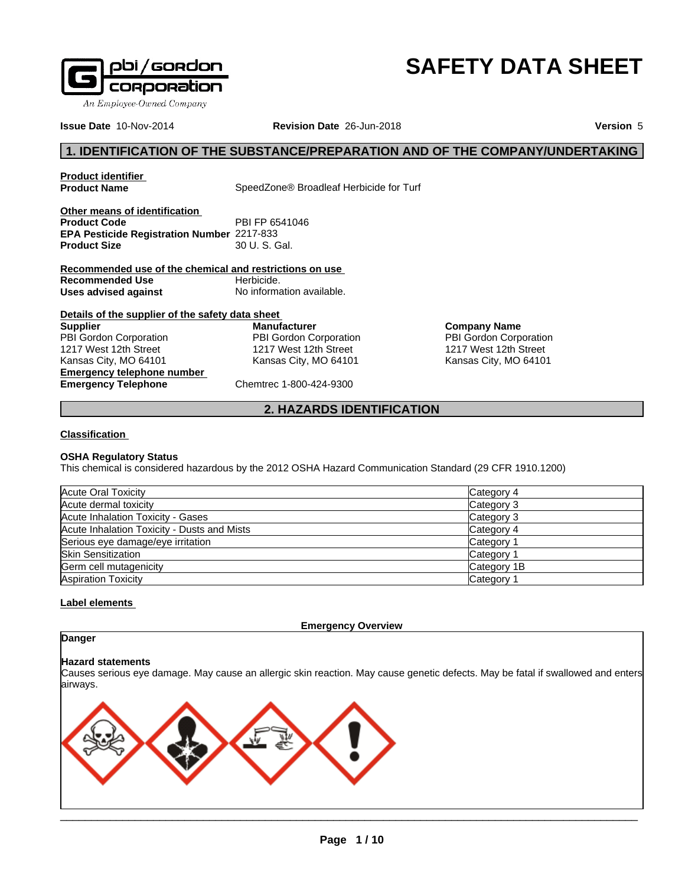

# **SAFETY DATA SHEET**

**Issue Date** 10-Nov-2014 **Revision Date** 26-Jun-2018 **Version** 5

### **1. IDENTIFICATION OF THE SUBSTANCE/PREPARATION AND OF THE COMPANY/UNDERTAKING**

**Product identifier**

SpeedZone<sup>®</sup> Broadleaf Herbicide for Turf

**Other means of identification Product Code** PBI FP 6541046 **EPA Pesticide Registration Number** 2217-833 **Product Size** 

**Recommended use of the chemical and restrictions on use Recommended Use** Herbicide. **Uses advised against** No information available.

#### **Details of the supplier of the safety data sheet Emergency telephone number Supplier** PBI Gordon Corporation 1217 West 12th Street Kansas City, MO 64101

**Manufacturer** PBI Gordon Corporation 1217 West 12th Street Kansas City, MO 64101

**Company Name** PBI Gordon Corporation 1217 West 12th Street Kansas City, MO 64101

**Emergency Telephone** Chemtrec 1-800-424-9300

### **2. HAZARDS IDENTIFICATION**

#### **Classification**

#### **OSHA Regulatory Status**

This chemical is considered hazardous by the 2012 OSHA Hazard Communication Standard (29 CFR 1910.1200)

| Acute Oral Toxicity                         | Category 4  |
|---------------------------------------------|-------------|
| Acute dermal toxicity                       | Category 3  |
| Acute Inhalation Toxicity - Gases           | Category 3  |
| Acute Inhalation Toxicity - Dusts and Mists | Category 4  |
| Serious eye damage/eye irritation           | Category 1  |
| <b>Skin Sensitization</b>                   | Category 1  |
| Germ cell mutagenicity                      | Category 1B |
| <b>Aspiration Toxicity</b>                  | Category 1  |

#### **Label elements**

**Emergency Overview**

### **Danger**

#### **Hazard statements**

Causes serious eye damage. May cause an allergic skin reaction. May cause genetic defects. May be fatal if swallowed and enters airways.

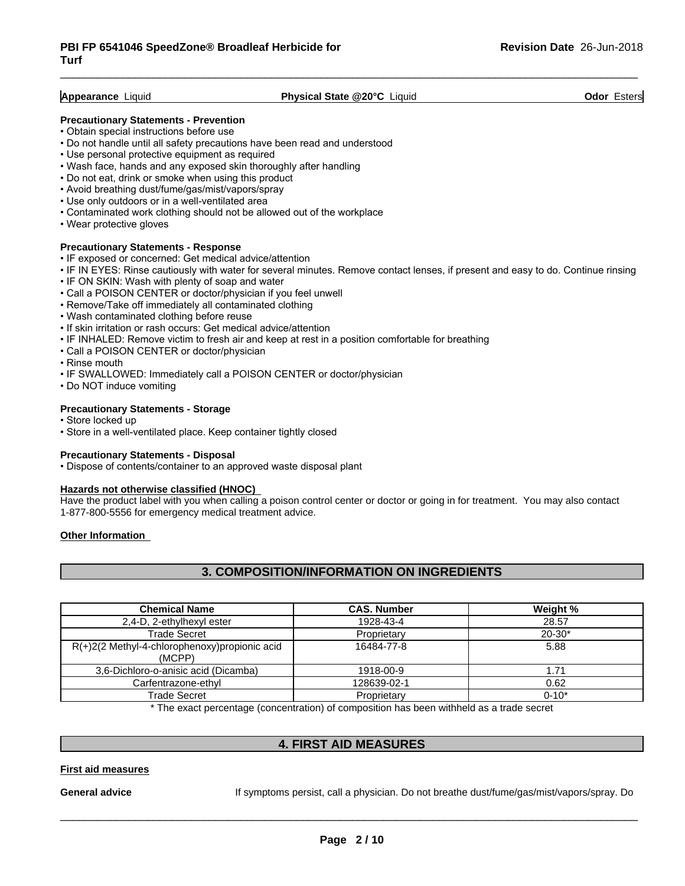#### **Appearance** Liquid **Physical State @20°C** Liquid **Odor** Esters

#### **Precautionary Statements - Prevention**

- Obtain special instructions before use
- Do not handle until all safety precautions have been read and understood
- Use personal protective equipment as required
- Wash face, hands and any exposed skin thoroughly after handling
- Do not eat, drink or smoke when using this product
- Avoid breathing dust/fume/gas/mist/vapors/spray
- Use only outdoors or in a well-ventilated area
- Contaminated work clothing should not be allowed out of the workplace
- Wear protective gloves

#### **Precautionary Statements - Response**

- IF exposed or concerned: Get medical advice/attention
- IF IN EYES: Rinse cautiously with water for several minutes. Remove contact lenses, if present and easy to do. Continue rinsing
- IF ON SKIN: Wash with plenty of soap and water
- Call a POISON CENTER or doctor/physician if you feel unwell
- Remove/Take off immediately all contaminated clothing
- Wash contaminated clothing before reuse
- If skin irritation or rash occurs: Get medical advice/attention
- IF INHALED: Remove victim to fresh air and keep at rest in a position comfortable for breathing
- Call a POISON CENTER or doctor/physician
- Rinse mouth
- IF SWALLOWED: Immediately call a POISON CENTER or doctor/physician
- Do NOT induce vomiting

#### **Precautionary Statements - Storage**

- Store locked up
- Store in a well-ventilated place. Keep container tightly closed

#### **Precautionary Statements - Disposal**

• Dispose of contents/container to an approved waste disposal plant

#### **Hazards not otherwise classified (HNOC)**

Have the product label with you when calling a poison control center or doctor or going in for treatment. You may also contact 1-877-800-5556 for emergency medical treatment advice.

#### **Other Information**

#### **3. COMPOSITION/INFORMATION ON INGREDIENTS**

| <b>Chemical Name</b>                                       | <b>CAS. Number</b> | Weight %   |
|------------------------------------------------------------|--------------------|------------|
| 2,4-D, 2-ethylhexyl ester                                  | 1928-43-4          | 28.57      |
| <b>Trade Secret</b>                                        | Proprietary        | $20 - 30*$ |
| $R(+)2(2$ Methyl-4-chlorophenoxy) propionic acid<br>(MCPP) | 16484-77-8         | 5.88       |
| 3,6-Dichloro-o-anisic acid (Dicamba)                       | 1918-00-9          | 1.71       |
| Carfentrazone-ethyl                                        | 128639-02-1        | 0.62       |
| Trade Secret                                               | Proprietary        | $0 - 10*$  |

\* The exact percentage (concentration) ofcomposition has been withheld as a trade secret

#### **4. FIRST AID MEASURES**

#### **First aid measures**

General **advice** If symptoms persist, call a physician. Do not breathe dust/fume/gas/mist/vapors/spray. Do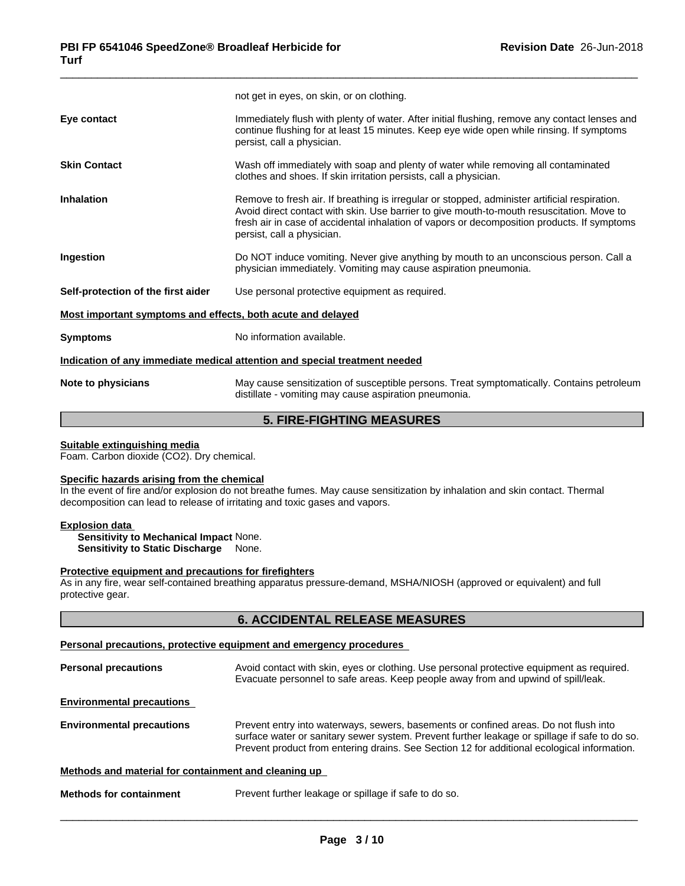| Immediately flush with plenty of water. After initial flushing, remove any contact lenses and<br>Eye contact<br>continue flushing for at least 15 minutes. Keep eye wide open while rinsing. If symptoms<br>persist, call a physician.<br><b>Skin Contact</b><br>Wash off immediately with soap and plenty of water while removing all contaminated<br>clothes and shoes. If skin irritation persists, call a physician.<br><b>Inhalation</b><br>Remove to fresh air. If breathing is irregular or stopped, administer artificial respiration.<br>Avoid direct contact with skin. Use barrier to give mouth-to-mouth resuscitation. Move to<br>fresh air in case of accidental inhalation of vapors or decomposition products. If symptoms<br>persist, call a physician.<br>Do NOT induce vomiting. Never give anything by mouth to an unconscious person. Call a<br>Ingestion<br>physician immediately. Vomiting may cause aspiration pneumonia.<br>Use personal protective equipment as required.<br>Self-protection of the first aider<br>Most important symptoms and effects, both acute and delayed<br>No information available.<br><b>Symptoms</b><br>Indication of any immediate medical attention and special treatment needed<br>May cause sensitization of susceptible persons. Treat symptomatically. Contains petroleum<br>Note to physicians<br>distillate - vomiting may cause aspiration pneumonia. | not get in eyes, on skin, or on clothing. |
|--------------------------------------------------------------------------------------------------------------------------------------------------------------------------------------------------------------------------------------------------------------------------------------------------------------------------------------------------------------------------------------------------------------------------------------------------------------------------------------------------------------------------------------------------------------------------------------------------------------------------------------------------------------------------------------------------------------------------------------------------------------------------------------------------------------------------------------------------------------------------------------------------------------------------------------------------------------------------------------------------------------------------------------------------------------------------------------------------------------------------------------------------------------------------------------------------------------------------------------------------------------------------------------------------------------------------------------------------------------------------------------------------------------------|-------------------------------------------|
|                                                                                                                                                                                                                                                                                                                                                                                                                                                                                                                                                                                                                                                                                                                                                                                                                                                                                                                                                                                                                                                                                                                                                                                                                                                                                                                                                                                                                    |                                           |
|                                                                                                                                                                                                                                                                                                                                                                                                                                                                                                                                                                                                                                                                                                                                                                                                                                                                                                                                                                                                                                                                                                                                                                                                                                                                                                                                                                                                                    |                                           |
|                                                                                                                                                                                                                                                                                                                                                                                                                                                                                                                                                                                                                                                                                                                                                                                                                                                                                                                                                                                                                                                                                                                                                                                                                                                                                                                                                                                                                    |                                           |
|                                                                                                                                                                                                                                                                                                                                                                                                                                                                                                                                                                                                                                                                                                                                                                                                                                                                                                                                                                                                                                                                                                                                                                                                                                                                                                                                                                                                                    |                                           |
|                                                                                                                                                                                                                                                                                                                                                                                                                                                                                                                                                                                                                                                                                                                                                                                                                                                                                                                                                                                                                                                                                                                                                                                                                                                                                                                                                                                                                    |                                           |
|                                                                                                                                                                                                                                                                                                                                                                                                                                                                                                                                                                                                                                                                                                                                                                                                                                                                                                                                                                                                                                                                                                                                                                                                                                                                                                                                                                                                                    |                                           |
|                                                                                                                                                                                                                                                                                                                                                                                                                                                                                                                                                                                                                                                                                                                                                                                                                                                                                                                                                                                                                                                                                                                                                                                                                                                                                                                                                                                                                    |                                           |
|                                                                                                                                                                                                                                                                                                                                                                                                                                                                                                                                                                                                                                                                                                                                                                                                                                                                                                                                                                                                                                                                                                                                                                                                                                                                                                                                                                                                                    |                                           |
|                                                                                                                                                                                                                                                                                                                                                                                                                                                                                                                                                                                                                                                                                                                                                                                                                                                                                                                                                                                                                                                                                                                                                                                                                                                                                                                                                                                                                    |                                           |

### **5. FIRE-FIGHTING MEASURES**

#### **Suitable extinguishing media**

Foam. Carbon dioxide (CO2). Dry chemical.

#### **Specific hazards arising from the chemical**

In the event of fire and/or explosion do not breathe fumes. May cause sensitization by inhalation and skin contact. Thermal decomposition can lead to release of irritating and toxic gases and vapors.

#### **Explosion data**

**Sensitivity to Mechanical Impact** None. **Sensitivity to Static Discharge** None.

#### **Protective equipment and precautions for firefighters**

As in any fire, wear self-contained breathing apparatus pressure-demand, MSHA/NIOSH (approved or equivalent) and full protective gear.

### **6. ACCIDENTAL RELEASE MEASURES**

### **Personal precautions, protective equipment and emergency procedures**

| <b>Personal precautions</b>                          | Avoid contact with skin, eyes or clothing. Use personal protective equipment as required.<br>Evacuate personnel to safe areas. Keep people away from and upwind of spill/leak.                                                                                                       |
|------------------------------------------------------|--------------------------------------------------------------------------------------------------------------------------------------------------------------------------------------------------------------------------------------------------------------------------------------|
| <b>Environmental precautions</b>                     |                                                                                                                                                                                                                                                                                      |
| <b>Environmental precautions</b>                     | Prevent entry into waterways, sewers, basements or confined areas. Do not flush into<br>surface water or sanitary sewer system. Prevent further leakage or spillage if safe to do so.<br>Prevent product from entering drains. See Section 12 for additional ecological information. |
| Methods and material for containment and cleaning up |                                                                                                                                                                                                                                                                                      |
| <b>Methods for containment</b>                       | Prevent further leakage or spillage if safe to do so.                                                                                                                                                                                                                                |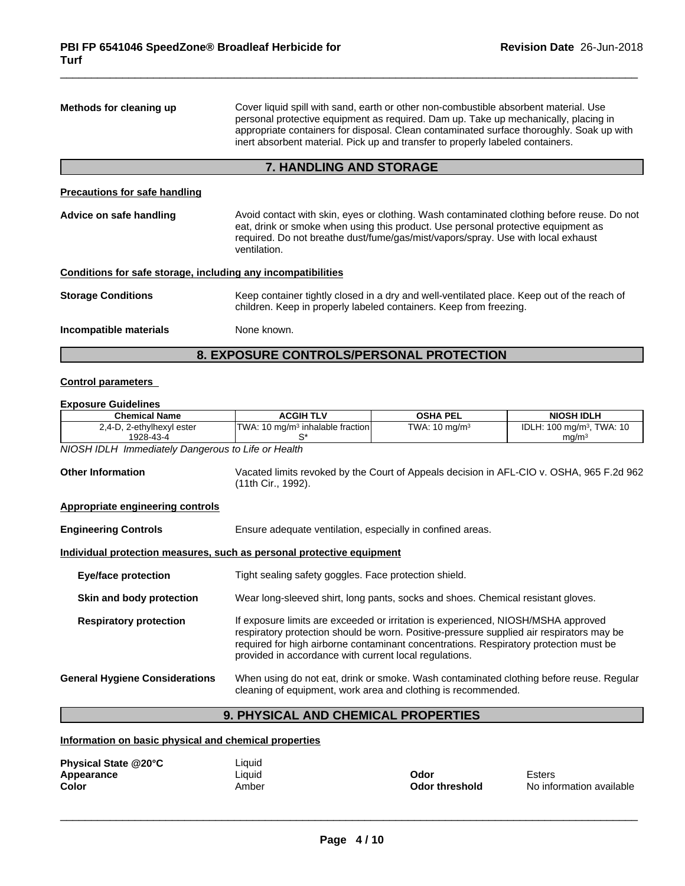| Methods for cleaning up                                      | Cover liquid spill with sand, earth or other non-combustible absorbent material. Use<br>personal protective equipment as required. Dam up. Take up mechanically, placing in<br>appropriate containers for disposal. Clean contaminated surface thoroughly. Soak up with<br>inert absorbent material. Pick up and transfer to properly labeled containers. |  |  |
|--------------------------------------------------------------|-----------------------------------------------------------------------------------------------------------------------------------------------------------------------------------------------------------------------------------------------------------------------------------------------------------------------------------------------------------|--|--|
|                                                              | <b>7. HANDLING AND STORAGE</b>                                                                                                                                                                                                                                                                                                                            |  |  |
| <b>Precautions for safe handling</b>                         |                                                                                                                                                                                                                                                                                                                                                           |  |  |
| Advice on safe handling                                      | Avoid contact with skin, eyes or clothing. Wash contaminated clothing before reuse. Do not<br>eat, drink or smoke when using this product. Use personal protective equipment as<br>required. Do not breathe dust/fume/gas/mist/vapors/spray. Use with local exhaust<br>ventilation.                                                                       |  |  |
| Conditions for safe storage, including any incompatibilities |                                                                                                                                                                                                                                                                                                                                                           |  |  |
| <b>Storage Conditions</b>                                    | Keep container tightly closed in a dry and well-ventilated place. Keep out of the reach of<br>children. Keep in properly labeled containers. Keep from freezing.                                                                                                                                                                                          |  |  |
| Incompatible materials                                       | None known.                                                                                                                                                                                                                                                                                                                                               |  |  |
|                                                              |                                                                                                                                                                                                                                                                                                                                                           |  |  |

### **8. EXPOSURE CONTROLS/PERSONAL PROTECTION**

### **Control parameters**

#### **Exposure Guidelines**

| 2,4-D, 2-ethylhexyl ester<br>TWA: 10 mg/m <sup>3</sup> inhalable fraction                                                                                                                                                                                                                                                                                         | TWA: $10 \text{ mg/m}^3$                                                                 |                                       |  |  |
|-------------------------------------------------------------------------------------------------------------------------------------------------------------------------------------------------------------------------------------------------------------------------------------------------------------------------------------------------------------------|------------------------------------------------------------------------------------------|---------------------------------------|--|--|
|                                                                                                                                                                                                                                                                                                                                                                   |                                                                                          | IDLH: 100 mg/m <sup>3</sup> , TWA: 10 |  |  |
| 1928-43-4<br>S*                                                                                                                                                                                                                                                                                                                                                   |                                                                                          | mg/m <sup>3</sup>                     |  |  |
| NIOSH IDLH Immediately Dangerous to Life or Health                                                                                                                                                                                                                                                                                                                |                                                                                          |                                       |  |  |
| <b>Other Information</b><br>(11th Cir., 1992).                                                                                                                                                                                                                                                                                                                    | Vacated limits revoked by the Court of Appeals decision in AFL-CIO v. OSHA, 965 F.2d 962 |                                       |  |  |
| Appropriate engineering controls                                                                                                                                                                                                                                                                                                                                  |                                                                                          |                                       |  |  |
| <b>Engineering Controls</b>                                                                                                                                                                                                                                                                                                                                       | Ensure adequate ventilation, especially in confined areas.                               |                                       |  |  |
| Individual protection measures, such as personal protective equipment                                                                                                                                                                                                                                                                                             |                                                                                          |                                       |  |  |
| Tight sealing safety goggles. Face protection shield.<br><b>Eye/face protection</b>                                                                                                                                                                                                                                                                               |                                                                                          |                                       |  |  |
| Wear long-sleeved shirt, long pants, socks and shoes. Chemical resistant gloves.<br>Skin and body protection                                                                                                                                                                                                                                                      |                                                                                          |                                       |  |  |
| If exposure limits are exceeded or irritation is experienced, NIOSH/MSHA approved<br><b>Respiratory protection</b><br>respiratory protection should be worn. Positive-pressure supplied air respirators may be<br>required for high airborne contaminant concentrations. Respiratory protection must be<br>provided in accordance with current local regulations. |                                                                                          |                                       |  |  |

#### **General Hygiene Considerations** When using do not eat, drink or smoke. Wash contaminated clothing before reuse. Regular cleaning of equipment, work area and clothing is recommended.

### **9. PHYSICAL AND CHEMICAL PROPERTIES**

### **Information on basic physical and chemical properties**

| Physical State @20°C | ∟iquid |                |                          |
|----------------------|--------|----------------|--------------------------|
| Appearance           | Liquid | Odor           | Esters                   |
| Color                | Amber  | Odor threshold | No information available |

 $\overline{\phantom{a}}$  ,  $\overline{\phantom{a}}$  ,  $\overline{\phantom{a}}$  ,  $\overline{\phantom{a}}$  ,  $\overline{\phantom{a}}$  ,  $\overline{\phantom{a}}$  ,  $\overline{\phantom{a}}$  ,  $\overline{\phantom{a}}$  ,  $\overline{\phantom{a}}$  ,  $\overline{\phantom{a}}$  ,  $\overline{\phantom{a}}$  ,  $\overline{\phantom{a}}$  ,  $\overline{\phantom{a}}$  ,  $\overline{\phantom{a}}$  ,  $\overline{\phantom{a}}$  ,  $\overline{\phantom{a}}$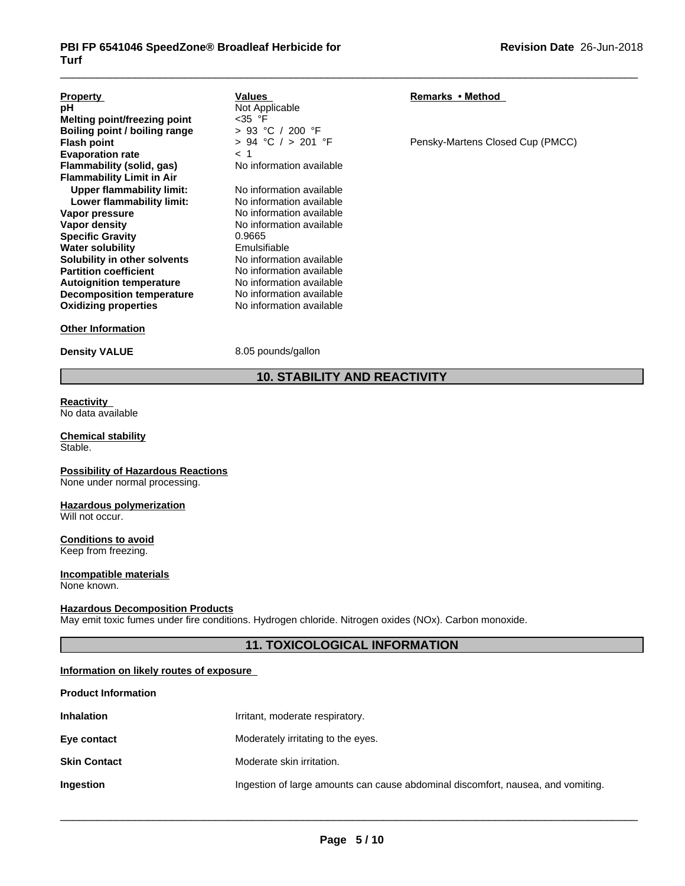| <b>Property</b><br>рH<br>Melting point/freezing point<br>Boiling point / boiling range | Values<br>Not Applicable<br>$<$ 35 °F<br>> 93 °C / 200 °F | Remarks • Method                 |
|----------------------------------------------------------------------------------------|-----------------------------------------------------------|----------------------------------|
| <b>Flash point</b>                                                                     | $> 94$ °C $/ > 201$ °F                                    | Pensky-Martens Closed Cup (PMCC) |
| <b>Evaporation rate</b>                                                                | < 1                                                       |                                  |
| Flammability (solid, gas)                                                              | No information available                                  |                                  |
| <b>Flammability Limit in Air</b>                                                       |                                                           |                                  |
| <b>Upper flammability limit:</b>                                                       | No information available                                  |                                  |
| Lower flammability limit:                                                              | No information available                                  |                                  |
| Vapor pressure                                                                         | No information available                                  |                                  |
| Vapor density                                                                          | No information available                                  |                                  |
| <b>Specific Gravity</b>                                                                | 0.9665                                                    |                                  |
| <b>Water solubility</b>                                                                | Emulsifiable                                              |                                  |
| Solubility in other solvents                                                           | No information available                                  |                                  |
| <b>Partition coefficient</b>                                                           | No information available                                  |                                  |
| <b>Autoignition temperature</b>                                                        | No information available                                  |                                  |
| <b>Decomposition temperature</b>                                                       | No information available                                  |                                  |
| <b>Oxidizing properties</b>                                                            | No information available                                  |                                  |
| <b>Other Information</b>                                                               |                                                           |                                  |

**Density VALUE** 8.05 pounds/gallon

### **10. STABILITY AND REACTIVITY**

**Reactivity** No data available

#### **Chemical stability** Stable.

**Possibility of Hazardous Reactions** None under normal processing.

## **Hazardous polymerization**

Will not occur.

### **Conditions to avoid**

Keep from freezing.

#### **Incompatible materials** None known.

#### **Hazardous Decomposition Products**

May emit toxic fumes under fire conditions. Hydrogen chloride. Nitrogen oxides (NOx). Carbon monoxide.

#### **11. TOXICOLOGICAL INFORMATION**

#### **Information on likely routes of exposure**

| <b>Product Information</b> |                                                                                  |
|----------------------------|----------------------------------------------------------------------------------|
| <b>Inhalation</b>          | Irritant, moderate respiratory.                                                  |
| Eye contact                | Moderately irritating to the eyes.                                               |
| <b>Skin Contact</b>        | Moderate skin irritation.                                                        |
| Ingestion                  | Ingestion of large amounts can cause abdominal discomfort, nausea, and vomiting. |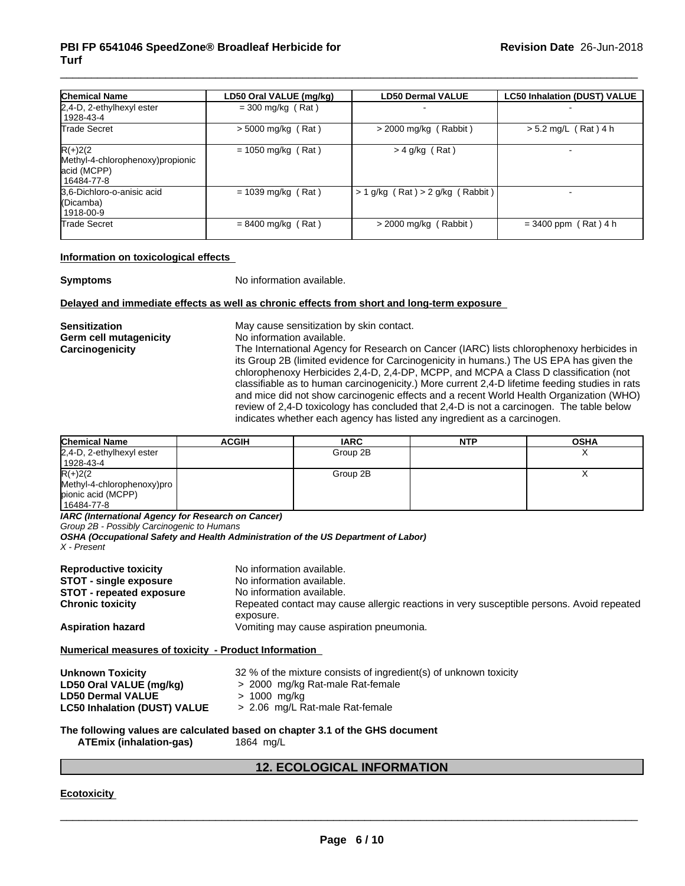| <b>Chemical Name</b>                                                           | LD50 Oral VALUE (mg/kg) | <b>LD50 Dermal VALUE</b>             | <b>LC50 Inhalation (DUST) VALUE</b> |
|--------------------------------------------------------------------------------|-------------------------|--------------------------------------|-------------------------------------|
| 2,4-D, 2-ethylhexyl ester                                                      | $=$ 300 mg/kg (Rat)     |                                      |                                     |
| 1928-43-4                                                                      |                         |                                      |                                     |
| Trade Secret                                                                   | $>$ 5000 mg/kg (Rat)    | $>$ 2000 mg/kg (Rabbit)              | $> 5.2$ mg/L (Rat) 4 h              |
| $R(+)2(2)$<br>Methyl-4-chlorophenoxy) propionic<br>acid (MCPP)<br>l 16484-77-8 | $= 1050$ mg/kg (Rat)    | $>$ 4 g/kg (Rat)                     |                                     |
| 3.6-Dichloro-o-anisic acid<br>(Dicamba)<br>1918-00-9                           | $= 1039$ mg/kg (Rat)    | $> 1$ g/kg (Rat) $> 2$ g/kg (Rabbit) |                                     |
| Trade Secret                                                                   | $= 8400$ mg/kg (Rat)    | > 2000 mg/kg (Rabbit)                | $= 3400$ ppm (Rat) 4 h              |

#### **Information on toxicological effects**

**Symptoms** No information available.

#### **Delayed and immediate effects as well as chronic effects from short and long-term exposure**

**Germ** cell mutagenicity

**Sensitization**<br> **Sensitization**<br> **Germ cell mutagenicity**<br> **No** information available.

**Carcinogenicity** The International Agency for Research on Cancer (IARC) lists chlorophenoxy herbicides in its Group 2B (limited evidence for Carcinogenicity in humans.) The US EPA has given the chlorophenoxy Herbicides 2,4-D, 2,4-DP, MCPP, and MCPA a Class D classification (not classifiable as to human carcinogenicity.) More current 2,4-D lifetime feeding studies in rats and mice did not show carcinogenic effects and a recent World Health Organization (WHO) review of 2,4-D toxicology has concluded that 2,4-D is not a carcinogen. The table below indicates whether each agency has listed any ingredient as a carcinogen.

| <b>Chemical Name</b>       | <b>ACGIH</b> | <b>IARC</b> | <b>NTP</b> | <b>OSHA</b> |
|----------------------------|--------------|-------------|------------|-------------|
| 2,4-D, 2-ethylhexyl ester  |              | Group 2B    |            | "           |
| 1928-43-4                  |              |             |            |             |
| $R(+)2(2)$                 |              | Group 2B    |            |             |
| Methyl-4-chlorophenoxy)pro |              |             |            |             |
| pionic acid (MCPP)         |              |             |            |             |
| 16484-77-8                 |              |             |            |             |

*IARC (International Agency for Research on Cancer)*

*Group 2B - Possibly Carcinogenic to Humans*

*OSHA (Occupational Safety and Health Administration of the US Department of Labor)*

*X - Present*

| <b>Reproductive toxicity</b><br><b>STOT - single exposure</b> | No information available.<br>No information available.                                                 |
|---------------------------------------------------------------|--------------------------------------------------------------------------------------------------------|
| <b>STOT - repeated exposure</b>                               | No information available.                                                                              |
| <b>Chronic toxicity</b>                                       | Repeated contact may cause allergic reactions in very susceptible persons. Avoid repeated<br>exposure. |
| <b>Aspiration hazard</b>                                      | Vomiting may cause aspiration pneumonia.                                                               |
| Numerical measures of toxicity - Product Information          |                                                                                                        |
| <b>Unknown Toxicity</b>                                       | 32 % of the mixture consists of ingredient(s) of unknown toxicity                                      |
| LD50 Oral VALUE (mg/kg)                                       | > 2000 mg/kg Rat-male Rat-female                                                                       |

**LD50 Dermal VALUE** > 1000 mg/kg **LC50** Inhalation (DUST) VALUE **The following values are calculated based on chapter 3.1 of the GHS document**

**ATEmix (inhalation-gas)** 1864 mg/L

#### **12. ECOLOGICAL INFORMATION**

**Ecotoxicity**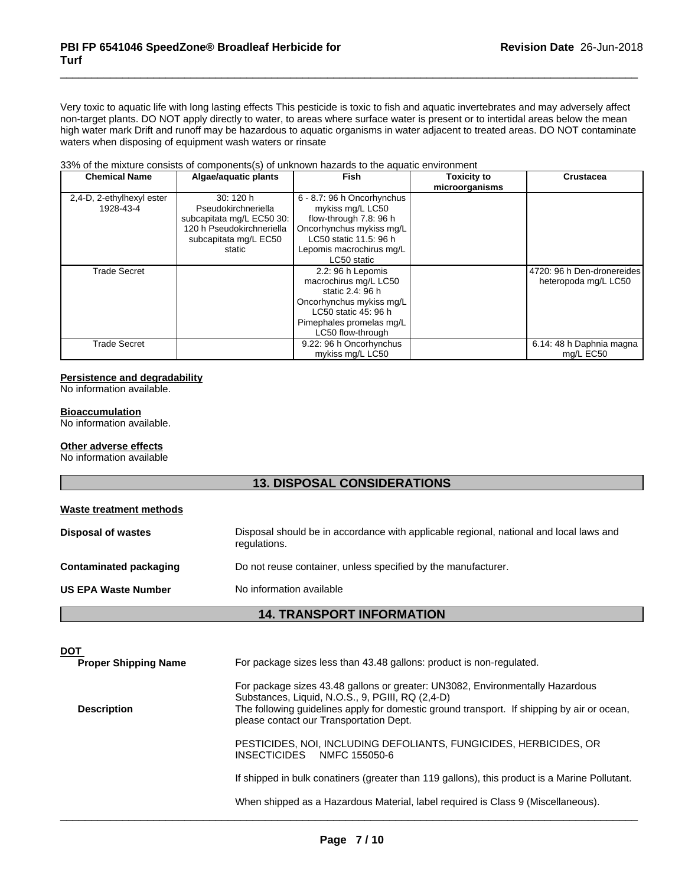Very toxic to aquatic life with long lasting effects This pesticide is toxic to fish and aquatic invertebrates and may adversely affect non-target plants. DO NOT apply directly to water, to areas where surface water is present or to intertidal areas below the mean high water mark Drift and runoff may be hazardous to aquatic organisms in water adjacent to treated areas. DO NOT contaminate waters when disposing of equipment wash waters or rinsate

#### 33% of the mixture consists of components(s) of unknown hazards to the aquatic environment

| <b>Chemical Name</b>      | Algae/aquatic plants      | <b>Fish</b>                | <b>Toxicity to</b> | <b>Crustacea</b>           |
|---------------------------|---------------------------|----------------------------|--------------------|----------------------------|
|                           |                           |                            | microorganisms     |                            |
| 2,4-D, 2-ethylhexyl ester | 30:120h                   | 6 - 8.7: 96 h Oncorhynchus |                    |                            |
| 1928-43-4                 | Pseudokirchneriella       | mykiss mg/L LC50           |                    |                            |
|                           | subcapitata mg/L EC50 30: | flow-through 7.8: 96 h     |                    |                            |
|                           | 120 h Pseudokirchneriella | Oncorhynchus mykiss mg/L   |                    |                            |
|                           | subcapitata mg/L EC50     | LC50 static 11.5: 96 h     |                    |                            |
|                           | static                    | Lepomis macrochirus mg/L   |                    |                            |
|                           |                           | LC50 static                |                    |                            |
| Trade Secret              |                           | 2.2: 96 h Lepomis          |                    | 4720: 96 h Den-dronereides |
|                           |                           | macrochirus mg/L LC50      |                    | heteropoda mg/L LC50       |
|                           |                           | static 2.4: 96 h           |                    |                            |
|                           |                           | Oncorhynchus mykiss mg/L   |                    |                            |
|                           |                           | LC50 static 45: 96 h       |                    |                            |
|                           |                           | Pimephales promelas mg/L   |                    |                            |
|                           |                           | LC50 flow-through          |                    |                            |
| Trade Secret              |                           | 9.22: 96 h Oncorhynchus    |                    | 6.14: 48 h Daphnia magna   |
|                           |                           | mykiss mg/L LC50           |                    | ma/L EC50                  |

#### **Persistence and degradability**

No information available.

#### **Bioaccumulation**

No information available.

#### **Other adverse effects**

No information available

### **13. DISPOSAL CONSIDERATIONS**

| Waste treatment methods       |                                                                                                        |
|-------------------------------|--------------------------------------------------------------------------------------------------------|
| <b>Disposal of wastes</b>     | Disposal should be in accordance with applicable regional, national and local laws and<br>regulations. |
| <b>Contaminated packaging</b> | Do not reuse container, unless specified by the manufacturer.                                          |
| <b>US EPA Waste Number</b>    | No information available                                                                               |
|                               |                                                                                                        |

#### **14. TRANSPORT INFORMATION**

| <b>DOT</b>                  |                                                                                                                                                                                                                                                                            |
|-----------------------------|----------------------------------------------------------------------------------------------------------------------------------------------------------------------------------------------------------------------------------------------------------------------------|
| <b>Proper Shipping Name</b> | For package sizes less than 43.48 gallons: product is non-regulated.                                                                                                                                                                                                       |
| <b>Description</b>          | For package sizes 43.48 gallons or greater: UN3082, Environmentally Hazardous<br>Substances, Liquid, N.O.S., 9, PGIII, RQ (2,4-D)<br>The following guidelines apply for domestic ground transport. If shipping by air or ocean,<br>please contact our Transportation Dept. |
|                             | PESTICIDES, NOI, INCLUDING DEFOLIANTS, FUNGICIDES, HERBICIDES, OR<br><b>INSECTICIDES</b><br>NMFC 155050-6                                                                                                                                                                  |
|                             | If shipped in bulk conatiners (greater than 119 gallons), this product is a Marine Pollutant.                                                                                                                                                                              |
|                             | When shipped as a Hazardous Material, label required is Class 9 (Miscellaneous).                                                                                                                                                                                           |
|                             |                                                                                                                                                                                                                                                                            |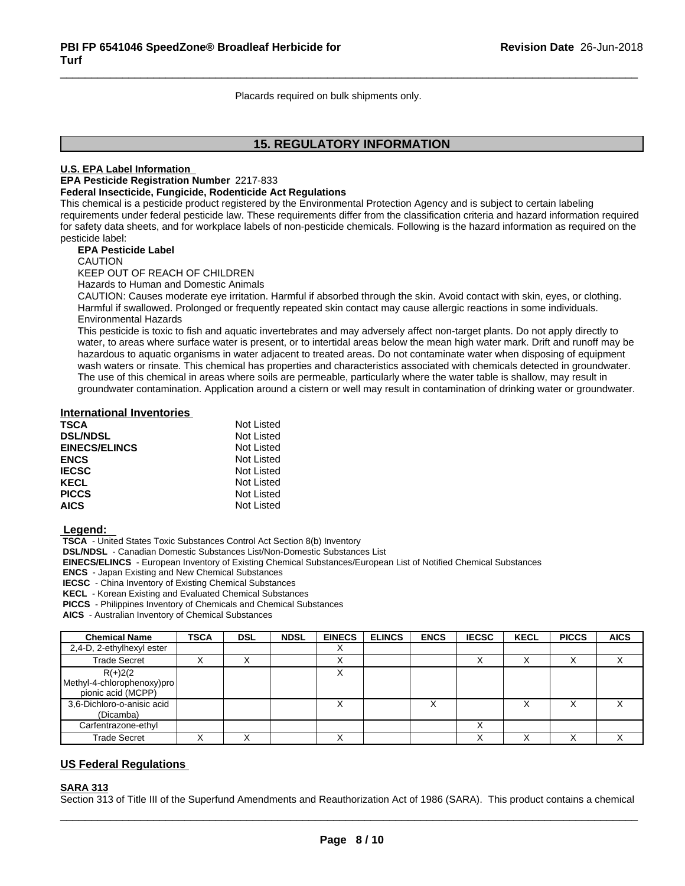Placards required on bulk shipments only.

### **15. REGULATORY INFORMATION**

#### **U.S. EPA Label Information**

**EPA Pesticide Registration Number** 2217-833

#### **Federal Insecticide, Fungicide, Rodenticide Act Regulations**

This chemical is a pesticide product registered by the Environmental Protection Agency and is subject to certain labeling requirements under federal pesticide law. These requirements differ from the classification criteria and hazard information required for safety data sheets, and for workplace labels of non-pesticide chemicals. Following is the hazard information as required on the pesticide label:

#### **EPA Pesticide Label**

CAUTION

KEEP OUT OF REACH OF CHILDREN

Hazards to Human and Domestic Animals

CAUTION: Causes moderate eye irritation. Harmful if absorbed through the skin. Avoid contact with skin, eyes, or clothing. Harmful if swallowed. Prolonged or frequently repeated skin contact may cause allergic reactions in some individuals. Environmental Hazards

This pesticide is toxic to fish and aquatic invertebrates and may adversely affect non-target plants. Do not apply directly to water, to areas where surface water is present, or to intertidal areas below the mean high water mark. Drift and runoff may be hazardous to aquatic organisms in water adjacent to treated areas. Do not contaminate water when disposing of equipment wash waters or rinsate. This chemical has properties and characteristics associated with chemicals detected in groundwater. The use of this chemical in areas where soils are permeable, particularly where the water table is shallow, may result in groundwater contamination. Application around a cistern or well may result in contamination of drinking water or groundwater.

### **International Inventories**

| <b>TSCA</b>          | Not Listed |
|----------------------|------------|
| <b>DSL/NDSL</b>      | Not Listed |
| <b>EINECS/ELINCS</b> | Not Listed |
| <b>ENCS</b>          | Not Listed |
| <b>IECSC</b>         | Not Listed |
| <b>KECL</b>          | Not Listed |
| <b>PICCS</b>         | Not Listed |
| <b>AICS</b>          | Not Listed |

#### **Legend:**

 **TSCA** - United States Toxic Substances Control Act Section 8(b) Inventory

 **DSL/NDSL** - Canadian Domestic Substances List/Non-Domestic Substances List

 **EINECS/ELINCS** - European Inventory of Existing Chemical Substances/European List of Notified Chemical Substances

 **ENCS** - Japan Existing and New Chemical Substances

 **IECSC** - China Inventory of Existing Chemical Substances

 **KECL** - Korean Existing and Evaluated Chemical Substances

 **PICCS** - Philippines Inventory of Chemicals and Chemical Substances

 **AICS** - Australian Inventory of Chemical Substances

| <b>Chemical Name</b>                                           | <b>TSCA</b> | <b>DSL</b> | <b>NDSL</b> | <b>EINECS</b> | <b>ELINCS</b> | <b>ENCS</b> | <b>IECSC</b> | <b>KECL</b> | <b>PICCS</b> | <b>AICS</b> |
|----------------------------------------------------------------|-------------|------------|-------------|---------------|---------------|-------------|--------------|-------------|--------------|-------------|
| 2,4-D, 2-ethylhexyl ester                                      |             |            |             |               |               |             |              |             |              |             |
| <b>Trade Secret</b>                                            |             |            |             | ↗             |               |             |              |             |              |             |
| $R(+)2(2)$<br>Methyl-4-chlorophenoxy)pro<br>pionic acid (MCPP) |             |            |             | ∧             |               |             |              |             |              |             |
| 3,6-Dichloro-o-anisic acid<br>(Dicamba)                        |             |            |             | ⋏             |               |             |              |             |              |             |
| Carfentrazone-ethyl                                            |             |            |             |               |               |             |              |             |              |             |
| Trade Secret                                                   |             |            |             |               |               |             |              |             |              |             |

#### **US Federal Regulations**

#### **SARA 313**

Section 313 of Title III of the Superfund Amendments and Reauthorization Act of 1986 (SARA). This product contains a chemical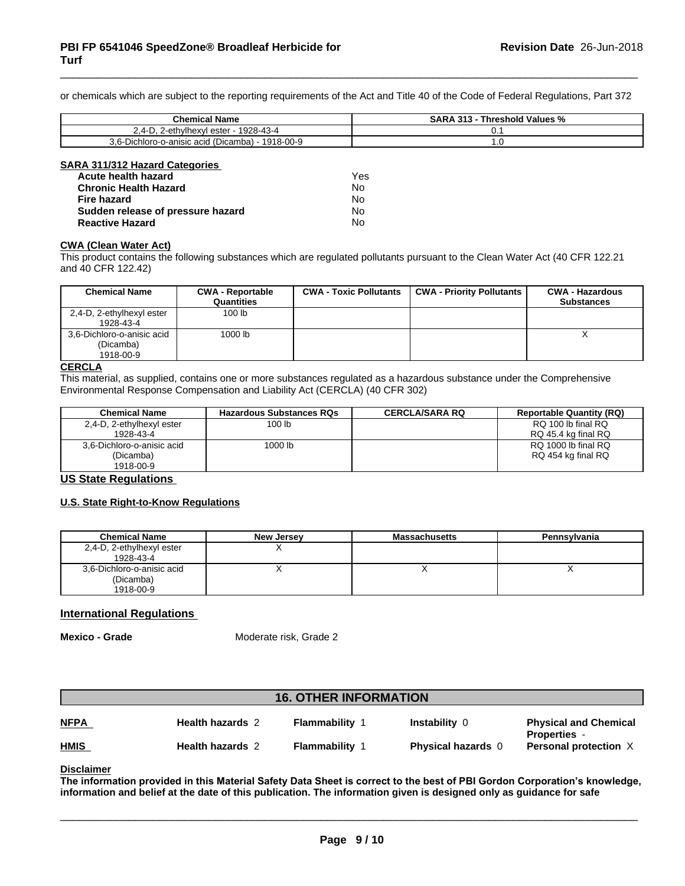or chemicals which are subject to the reporting requirements of the Act and Title 40 of the Code of Federal Regulations, Part 372

| Chemical<br>∣ Name                                                       | <br>` Values %<br>hreshold<br>ιл |
|--------------------------------------------------------------------------|----------------------------------|
| 1928-43-4<br>ester<br>lhavı.<br>$\sim$ ,4 $\sim$<br>∧שוו<br>·−⊏แเท…      | v.                               |
| $-1918 - 00 - 9$<br>$3.6-D$<br>sic acid (Dicamba) -<br>Dichloro-o-anisio | . ت                              |

| SARA 311/312 Hazard Categories    |     |  |
|-----------------------------------|-----|--|
| Acute health hazard               | Yes |  |
| <b>Chronic Health Hazard</b>      | No  |  |
| <b>Fire hazard</b>                | No  |  |
| Sudden release of pressure hazard | No  |  |
| <b>Reactive Hazard</b>            | No  |  |

### **CWA** (Clean Water Act)

This product contains the following substances which are regulated pollutants pursuant to the Clean Water Act (40 CFR 122.21 and 40 CFR 122.42)

| <b>Chemical Name</b>                                 | <b>CWA - Reportable</b><br>Quantities | <b>CWA - Toxic Pollutants</b> | <b>CWA - Priority Pollutants</b> | <b>CWA - Hazardous</b><br><b>Substances</b> |
|------------------------------------------------------|---------------------------------------|-------------------------------|----------------------------------|---------------------------------------------|
| 2,4-D, 2-ethylhexyl ester<br>1928-43-4               | 100 <sub>lb</sub>                     |                               |                                  |                                             |
| 3,6-Dichloro-o-anisic acid<br>(Dicamba)<br>1918-00-9 | 1000 lb                               |                               |                                  |                                             |

#### **CERCLA**

This material, as supplied, contains one or more substances regulated as a hazardous substance under the Comprehensive Environmental Response Compensation and Liability Act (CERCLA) (40 CFR 302)

| Chemical Name              | <b>Hazardous Substances RQs</b> | <b>CERCLA/SARA RQ</b> | <b>Reportable Quantity (RQ)</b> |
|----------------------------|---------------------------------|-----------------------|---------------------------------|
| 2,4-D, 2-ethylhexyl ester  | 100 lb                          |                       | RQ 100 lb final RQ              |
| 1928-43-4                  |                                 |                       | RQ 45.4 kg final RQ             |
| 3,6-Dichloro-o-anisic acid | 1000 lb                         |                       | RQ 1000 lb final RQ             |
| (Dicamba)                  |                                 |                       | RQ 454 kg final RQ              |
| 1918-00-9                  |                                 |                       |                                 |

#### **US State Regulations**

#### **U.S. State Right-to-Know Regulations**

| <b>Chemical Name</b>       | New Jersey | <b>Massachusetts</b> | Pennsylvania |
|----------------------------|------------|----------------------|--------------|
| 2,4-D, 2-ethylhexyl ester  |            |                      |              |
| 1928-43-4                  |            |                      |              |
| 3,6-Dichloro-o-anisic acid |            |                      |              |
| (Dicamba)                  |            |                      |              |
| 1918-00-9                  |            |                      |              |

#### **International Regulations**

**Mexico - Grade** Moderate risk, Grade 2

| <b>16. OTHER INFORMATION</b> |                         |                     |                           |                                                     |  |
|------------------------------|-------------------------|---------------------|---------------------------|-----------------------------------------------------|--|
| <b>NFPA</b>                  | <b>Health hazards 2</b> | Flammability        | <b>Instability 0</b>      | <b>Physical and Chemical</b><br><b>Properties -</b> |  |
| <b>HMIS</b>                  | <b>Health hazards 2</b> | <b>Flammability</b> | <b>Physical hazards</b> 0 | <b>Personal protection X</b>                        |  |

**Disclaimer**

The information provided in this Material Safety Data Sheet is correct to the best of PBI Gordon Corporation's knowledge, information and belief at the date of this publication. The information given is designed only as guidance for safe